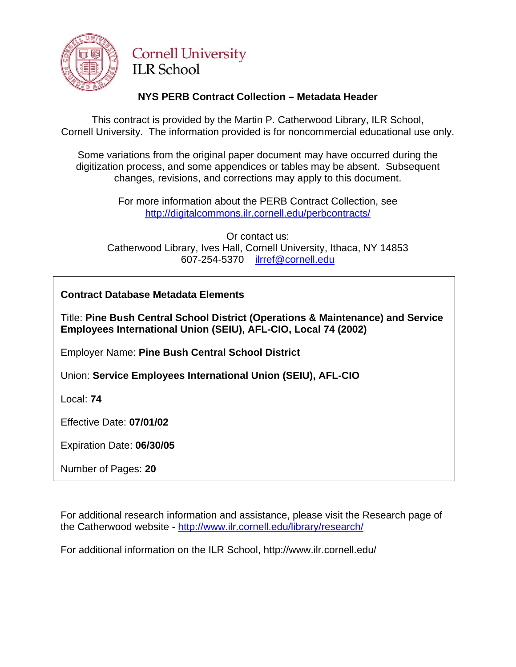

# **Cornell University ILR School**

### **NYS PERB Contract Collection – Metadata Header**

This contract is provided by the Martin P. Catherwood Library, ILR School, Cornell University. The information provided is for noncommercial educational use only.

Some variations from the original paper document may have occurred during the digitization process, and some appendices or tables may be absent. Subsequent changes, revisions, and corrections may apply to this document.

> For more information about the PERB Contract Collection, see http://digitalcommons.ilr.cornell.edu/perbcontracts/

Or contact us: Catherwood Library, Ives Hall, Cornell University, Ithaca, NY 14853 607-254-5370 [ilrref@cornell.edu](mailto:ilrref@cornell.edu)

**Contract Database Metadata Elements** 

Title: **Pine Bush Central School District (Operations & Maintenance) and Service Employees International Union (SEIU), AFL-CIO, Local 74 (2002)** 

Employer Name: **Pine Bush Central School District**

Union: **Service Employees International Union (SEIU), AFL-CIO**

Local: **74**

Effective Date: **07/01/02**

Expiration Date: **06/30/05**

Number of Pages: **20**

For additional research information and assistance, please visit the Research page of the Catherwood website -<http://www.ilr.cornell.edu/library/research/>

For additional information on the ILR School, http://www.ilr.cornell.edu/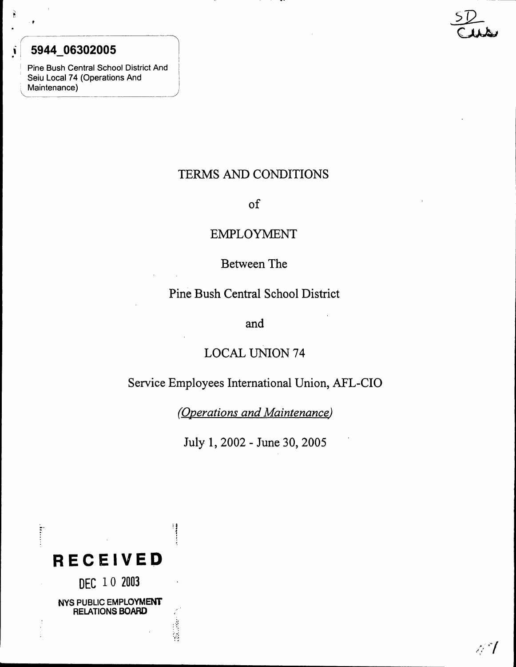# $\mathbf{S}$  5944\_063020

.~

(

.,

, Pine Bush Central School District And Seiu Local 74 (Operations And Maintenance)

 $\sqrt{2}$ 

 $S\mathcal{D}$  $\mathcal{C}$ 

# TERMS AND CONDITIONS

### of

## EMPLOYMENT

# Between The

## Pine Bush Central School District

and

# LOCAL UNION 74

## Service Employees International Union, AFL-CIO

*(Operations and Maintenance)*

July 1, 2002 - June 30, 2005

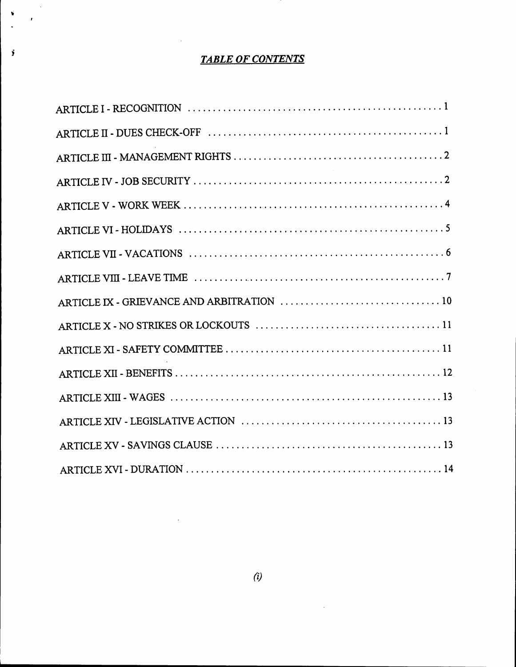# *TABLE OF CONTENTS*

,

 $\bar{z}$  $\lambda$ 

j

 $\Delta$ 

 $\ddot{\phantom{a}}$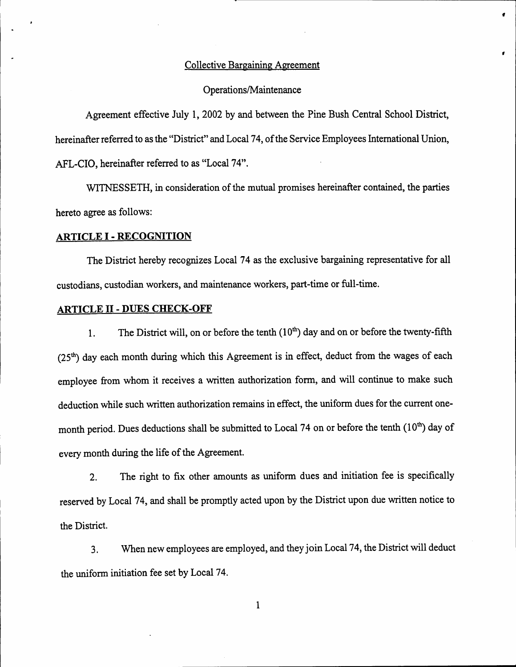#### Collective Bargaining Agreement

,

#### Operations/Maintenance

Agreement effective July 1, 2002 by and between the Pine Bush Central School District, hereinafter referred to asthe "District" and Local 74, of the Service Employees International Union, AFL-CIO, hereinafter referred to as "Local 74".

WITNESSETH, in consideration of the mutual promises hereinafter contained, the parties hereto agree as follows:

#### **ARTICLE** <sup>I</sup> -**RECOGNITION**

The District hereby recognizes Local 74 as the exclusive bargaining representative for all custodians, custodian workers, and maintenance workers, part-time or full-time.

#### **ARTICLE II - DUES CHECK-OFF**

1. The District will, on or before the tenth  $(10<sup>th</sup>)$  day and on or before the twenty-fifth  $(25<sup>th</sup>)$  day each month during which this Agreement is in effect, deduct from the wages of each employee from whom it receives a written authorization form, and will continue to make such deduction while such written authorization remains in effect, the uniform dues for the current onemonth period. Dues deductions shall be submitted to Local 74 on or before the tenth  $(10<sup>th</sup>)$  day of every month during the life of the Agreement.

2. The right to fix other amounts as uniform dues and initiation fee is specifically reserved by Local 74, and shall be promptly acted upon by the District upon due written notice to the District.

3. When new employees are employed, and they join Local 74, the District will deduct the uniform initiation fee set by Local 74.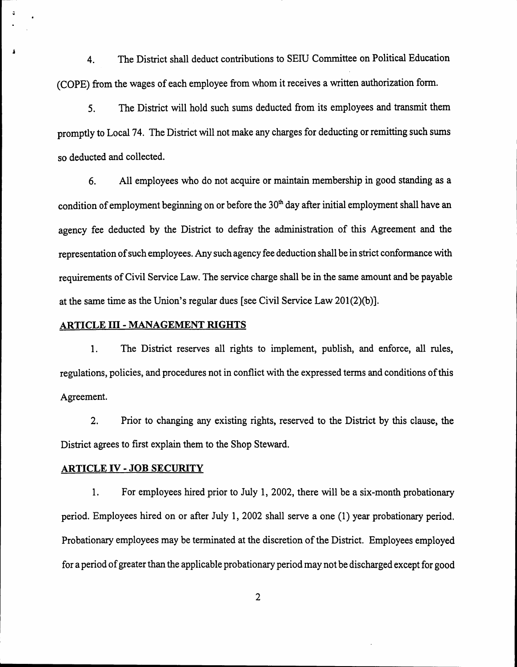4. The District shall deduct contributions to SEIU Committee on Political Education (COPE) from the wages of each employee from whom it receives a written authorization form.

5. The District will hold such sums deducted from its employees and transmit them promptly to Local 74. The District will not make any charges for deducting or remitting such sums so deducted and collected.

6. All employees who do not acquire or maintain membership in good standing as a condition of employment beginning on or before the  $30<sup>th</sup>$  day after initial employment shall have an agency fee deducted by the District to defray the administration of this Agreement and the representation of such employees. Any such agency fee deduction shall be in strict conformance with requirements of Civil Service Law. The service charge shall be in the same amount and be payable at the same time as the Union's regular dues [see Civil Service Law 201(2)(b)].

#### ARTICLE III - MANAGEMENT RIGHTS

 $\ddot{\bullet}$ 

1. The District reserves all rights to implement, publish, and enforce, all rules, regulations, policies, and procedures not in conflict with the expressed terms and conditions of this Agreement.

2. Prior to changing any existing rights, reserved to the District by this clause, the District agrees to first explain them to the Shop Steward.

#### ARTICLE IV - JOB SECURITY

1. For employees hired prior to July 1, 2002, there will be a six-month probationary period. Employees hired on or after July 1, 2002 shall serve a one (1) year probationary period. Probationary employees may be terminated at the discretion of the District. Employees employed for a period of greater than the applicable probationary period may not be discharged except for good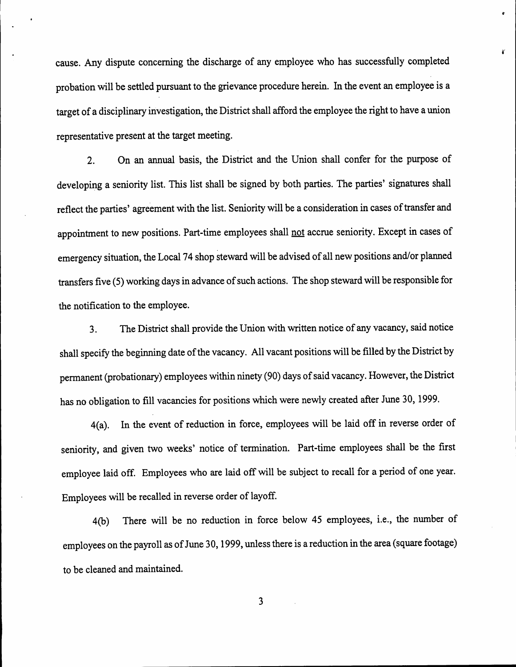cause. Any dispute concerning the discharge of any employee who has successfully completed probation will be settled pursuant to the grievance procedure herein. In the event an employee is a target of a disciplinary investigation, the District shall afford the employee the right to have a union representative present at the target meeting.

*61*

2. On an annual basis, the District and the Union shall confer for the purpose of developing a seniority list. This list shall be signed by both parties. The parties' signatures shall reflect the parties' agreement with the list. Seniority will be a consideration in cases of transfer and appointment to new positions. Part-time employees shall not accrue seniority. Except in cases of emergency situation, the Local 74 shop steward will be advised of all new positions and/or planned transfers five (5) working days in advance of such actions. The shop steward will be responsible for the notification to the employee.

3. The District shall provide the Union with written notice of any vacancy, said notice shall specify the beginning date of the vacancy. All vacant positions will be filled by the District by permanent (probationary) employees within ninety (90) days of said vacancy. However, the District has no obligation to fill vacancies for positions which were newly created after June 30, 1999.

4(a). In the event of reduction in force, employees will be laid off in reverse order of seniority, and given two weeks' notice of termination. Part-time employees shall be the first employee laid off. Employees who are laid off will be subject to recall for a period of one year. Employees will be recalled in reverse order of layoff.

4(b) There will be no reduction in force below 45 employees, i.e., the number of employees on the payroll as of June 30, 1999, unless there is a reduction in the area (square footage) to be cleaned and maintained.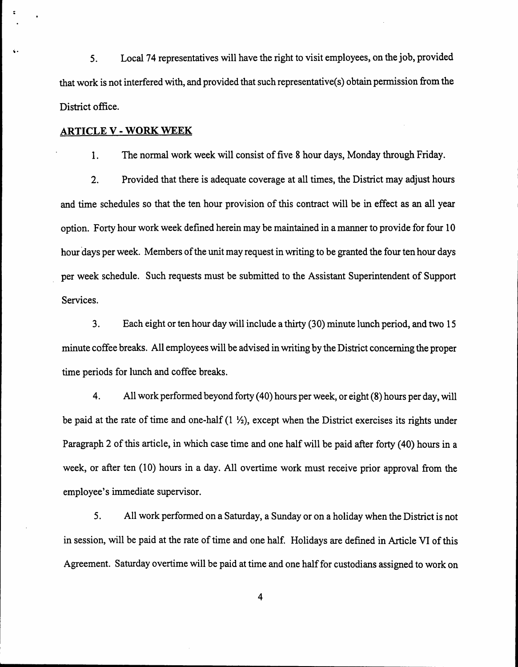5. Local 74 representatives will have the right to visit employees, on the job, provided that work is not interfered with, and provided that such representative(s) obtain permission from the District office.

#### ARTICLE V - WORK WEEK

Ii .

 $\ddot{\phantom{a}}$ 

1. The normal work week will consist of five 8 hour days, Monday through Friday.

2. Provided that there is adequate coverage at all times, the District may adjust hours and time schedules so that the ten hour provision of this contract will be in effect as an all year option. Forty hour work week defined herein may be maintained in a manner to provide for four 10 hour days per week. Members of the unit may request in writing to be granted the four ten hour days per week schedule. Such requests must be submitted to the Assistant Superintendent of Support Services.

3. Each eight or ten hour day will include a thirty (30) minute lunch period, and two 15 minute coffee breaks. All employees will be advised in writing by the District concerning the proper time periods for lunch and coffee breaks.

4. All work performed beyond forty (40) hours per week, or eight (8) hours per day, will be paid at the rate of time and one-half  $(1 \frac{1}{2})$ , except when the District exercises its rights under Paragraph 2 of this article, in which case time and one half will be paid after forty (40) hours in a week, or after ten (10) hours in a day. All overtime work must receive prior approval from the employee's immediate supervisor.

5. All work perfonned on a Saturday, a Sunday or on a holiday when the District is not in session, will be paid at the rate of time and one half. Holidays are defined in Article VI of this Agreement. Saturday overtime will be paid at time and one half for custodians assigned to work on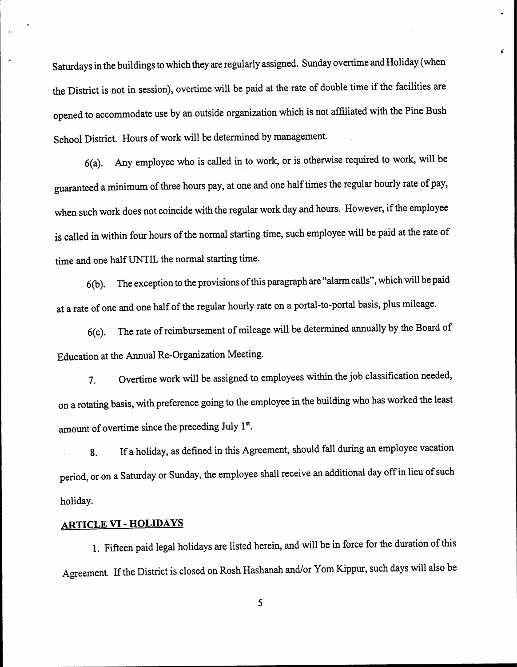Saturdays in the buildings to which they are regularly assigned. Sunday overtime and Holiday (when the District is not in session), overtime will be paid at the rate of double time if the facilities are opened to accommodate use by an outside organization which is not affiliated with the Pine Bush School District. Hours of work will be determined by management.

,

6(a). Any employee who is called in to work, or is otherwise required to work, will be guaranteed a minimum of three hours pay, at one and one half times the regular hourly rate of pay, when such work does not coincide with the regular work day and hours. However, if the employee is called in within four hours of the normal starting time, such employee will be paid at the rate of . time and one half UNTIL the normal starting time.

6(b). The exception to the provisions of this paragraph are "alarm calls", which will be paid at a rate of one and one half of the regular hourly rate on a portal-to-portal basis, plus mileage.

6(c). The rate of reimbursement of mileage will be determined annually by the Board of Education at the Annual Re-Organization Meeting.

7. Overtime work will be assigned to employees within the job classification needed, on a rotating basis, with preference going to the employee in the building who has worked the least amount of overtime since the preceding July 1st.

8. If a holiday, as defined in this Agreement, should fall during an employee vacation period, or on a Saturday or Sunday, the employee shall receive an additional day off in lieu of such holiday.

### ARTICLE VI - HOLIDAYS

1. Fifteen paid legal holidays are listed herein, and will be in force for the duration of this Agreement. If the District is closed on Rosh Hashanah and/or Yom Kippur, such days will also be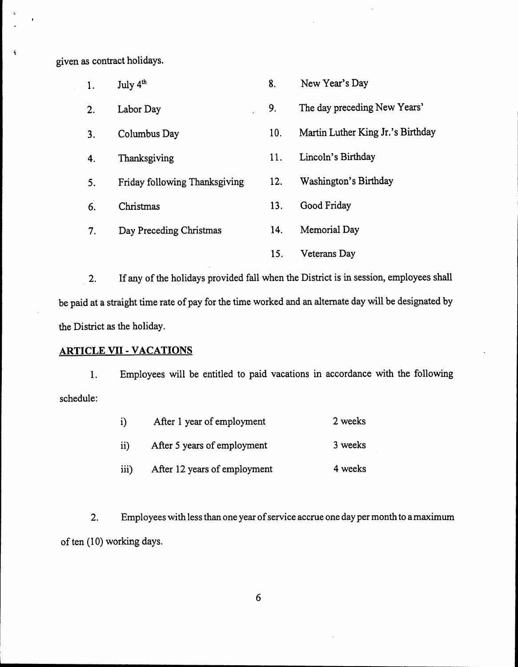given as contract holidays.

 $\ddot{\bullet}$ 

| 1. | July 4 <sup>th</sup>          | 8.  | New Year's Day                    |
|----|-------------------------------|-----|-----------------------------------|
| 2. | Labor Day                     | 9.  | The day preceding New Years'      |
| 3. | Columbus Day                  | 10. | Martin Luther King Jr.'s Birthday |
| 4. | Thanksgiving                  | 11. | Lincoln's Birthday                |
| 5. | Friday following Thanksgiving | 12. | Washington's Birthday             |
| 6. | Christmas                     | 13. | Good Friday                       |
| 7. | Day Preceding Christmas       | 14. | Memorial Day                      |
|    |                               | 15. | Veterans Day                      |

2. If any of the holidays provided fall when the District is in session, employees shall be paid at a straight time rate of pay for the time worked and an alternate day will be designated by the District as the holiday.

### **ARTICLE VII** - **VACATIONS**

1. Employees will be entitled to paid vacations in accordance with the following schedule:

| i)               | After 1 year of employment   | 2 weeks |
|------------------|------------------------------|---------|
| $\mathbf{ii}$    | After 5 years of employment  | 3 weeks |
| $\overline{iii}$ | After 12 years of employment | 4 weeks |

2. Employees with less than one year of service accrue one day per month to amaximum of ten (10) working days.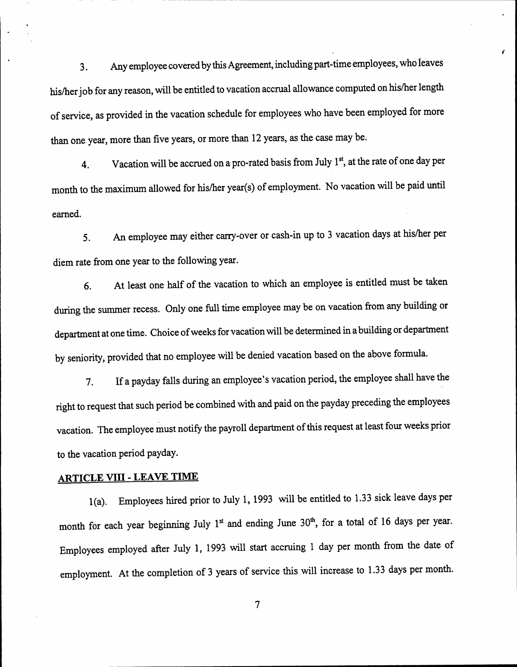3. Any employee covered by this Agreement, including part-time employees, who leaves his/her job for any reason, will be entitled to vacation accrual allowance computed on his/her length of service, as provided in the vacation schedule for employees who have been employed for more than one year, more than five years, or more than 12 years, as the case may be.

(

4. Vacation will be accrued on a pro-rated basis from July 1<sup>st</sup>, at the rate of one day per month to the maximum allowed for his/her year(s) of employment. No vacation will be paid until earned.

5. An employee may either carry-over or cash-in up to 3 vacation days at hislher per diem rate from one year to the following year.

6. At least one half of the vacation to which an employee is entitled must be taken during the summer recess. Only one full time employee may be on vacation from any building or department at one time. Choice of weeks for vacation will be determined in a building or department by seniority, provided that no employee will be denied vacation based on the above formula.

7. If a payday falls during an employee's vacation period, the employee shall have the right to request that such period be combined with and paid on the payday preceding the employees vacation. The employee must notify the payroll department of this request at least four weeks prior to the vacation period payday.

### **ARTICLE VIII - LEAVE TIME**

l(a). Employees hired prior to July 1, 1993 will be entitled to 1.33 sick leave days per month for each year beginning July 1<sup>st</sup> and ending June 30<sup>th</sup>, for a total of 16 days per year. Employees employed after July 1, 1993 will start accruing 1 day per month from the date of employment. At the completion of 3 years of service this will increase to 1.33 days per month.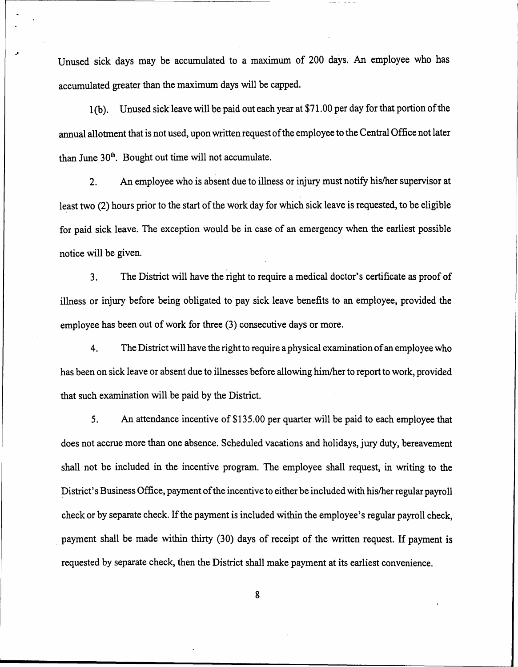Unused sick days may be accumulated to a maximum of 200 days. An employee who has accumulated greater than the maximum days will be capped.

.'

.

1(b). Unused sick leave will be paid out each year at \$71.00 per day for that portion of the annual allotment that is not used, upon written request of the employee to the Central Office not later than June  $30<sup>th</sup>$ . Bought out time will not accumulate.

2. An employee who is absent due to illness or injury must notify hislher supervisor at least two (2) hours prior to the start of the work day for which sick leave is requested, to be eligible for paid sick leave. The exception would be in case of an emergency when the earliest possible notice will be given.

3. The District will have the right to require a medical doctor's certificate as proof of illness or injury before being obligated to pay sick leave benefits to an employee, provided the employee has been out of work for three (3) consecutive days or more.

4. The District will have the right to require aphysical examination of an employee who has been on sick leave or absent due to illnesses before allowing him/her to report to work, provided that such examination will be paid by the District.

5. An attendance incentive of \$135.00 per quarter will be paid to each employee that does not accrue more than one absence. Scheduled vacations and holidays, jury duty, bereavement shall not be included in the incentive program. The employee shall request, in writing to the District's Business Office, payment of the incentive to either be included with his/her regular payroll check or by separate check. If the payment is included within the employee's regular payroll check, payment shall be made within thirty (30) days of receipt of the written request. If payment is requested by separate check, then the District shall make payment at its earliest convenience.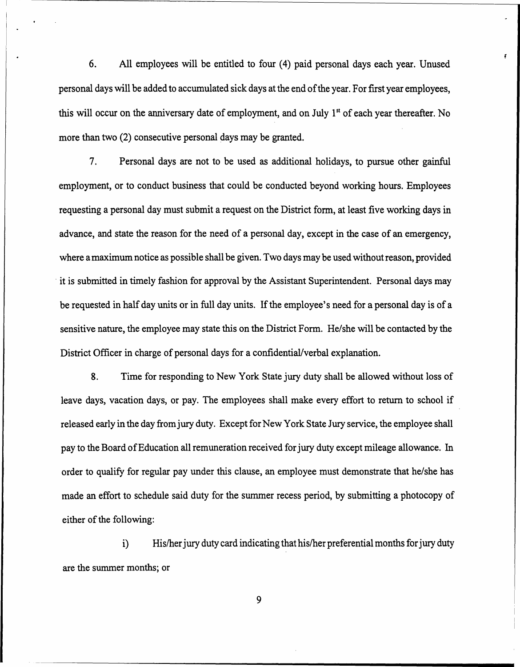6. All employees will be entitled to four (4) paid personal days each year. Unused personal days will be added to accumulated sick days at the end of the year. For first year employees, this will occur on the anniversary date of employment, and on July  $1<sup>st</sup>$  of each year thereafter. No more than two (2) consecutive personal days may be granted.

 $\overline{ }$  $\vert \hspace{.1cm} \cdot \hspace{.1cm}$ 

> 7. Personal days are not to be used as additional holidays, to pursue other gainful employment, or to conduct business that could be conducted beyond working hours. Employees requesting a personal day must submit a request on the District form, at least five working days in advance, and state the reason for the need of a personal day, except in the case of an emergency, where amaximum notice as possible shall be given. Two days may be used without reason, provided . it is submitted in timely fashion for approval by the Assistant Superintendent. Personal days may be requested in half day units or in full day units. If the employee's need for a personal day is of a sensitive nature, the employee may state this on the District Form. He/she will be contacted by the District Officer in charge of personal days for a confidential/verbal explanation.

8. Time for responding to New York State jury duty shall be allowed without loss of leave days, vacation days, or pay. The employees shall make every effort to return to school if released early in the day from jury duty. Except for New York State Jury service, the employee shall pay to the Board of Education all remuneration received for jury duty except mileage allowance. In order to qualify for regular pay under this clause, an employee must demonstrate that he/she has made an effort to schedule said duty for the summer recess period, by submitting a photocopy of either of the following:

i) His/her jury duty card indicating that his/her preferential months for jury duty are the summer months; or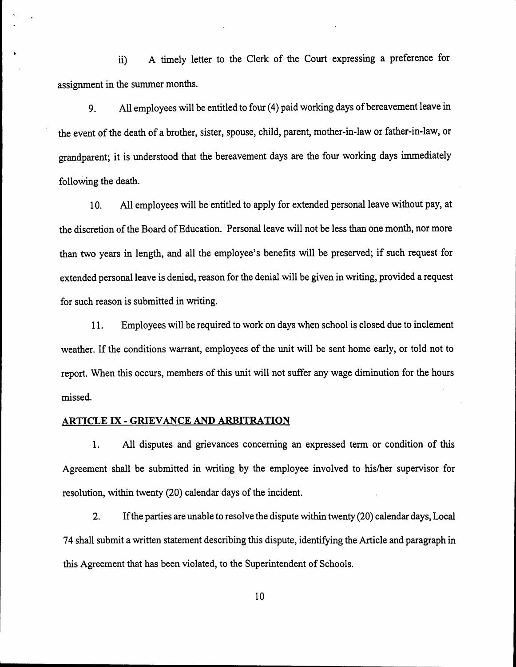ii) A timely letter to the Clerk of the Court expressing a preference for assignment in the summer months.

9. All employees will be entitled to four (4) paid working days of bereavement leave in the event of the death of a brother, sister, spouse, child, parent, mother-in-law or father-in-law, or grandparent; it is understood that the bereavement days are the four working days immediately folloWing the death.

10. All employees will be entitled to apply for extended personal leave without pay, at the discretion of the Board of Education. Personal leave will not be less than one month, nor more than two years in length, and all the employee's benefits will be preserved; if such request for extended personal leave is denied, reason for the denial will be given in writing, provided a request for such reason is submitted in writing.

11. Employees will be required to work on days when school is closed due to inclement weather. If the conditions warrant, employees of the unit will be sent home early, or told not to report. When this occurs, members of this unit will not suffer any wage diminution for the hours missed.

#### ARTICLE IX - GRIEVANCE AND ARBITRATION

.

1. All disputes and grievances concerning an expressed term or condition of this Agreement shall be submitted in writing by the employee involved to his/her supervisor for resolution, within twenty (20) calendar days of the incident.

2. If the parties are unable to resolve the dispute within twenty (20) calendar days, Local 74 shall submit a written statement describing this dispute, identifying the Article and paragraph in this Agreement that has been violated, to the Superintendent of Schools.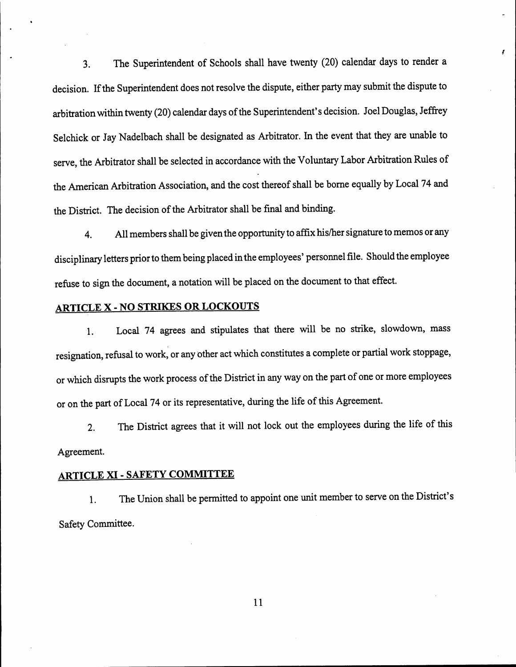3. The Superintendent of Schools shall have twenty (20) calendar days to render a decision. If the Superintendent does not resolve the dispute, either party may submit the dispute to arbitration within twenty (20) calendar days of the Superintendent's decision. Joel Douglas, Jeffrey Selchick or Jay Nadelbach shall be designated as Arbitrator. In the event that they are unable to serve, the Arbitrator shall be selected in accordance with the Voluntary Labor Arbitration Rules of the American Arbitration Association, and the cost thereof shall be borne equally by Local 74 and the District. The decision of the Arbitrator shall be final and binding.

!

4. All members shall be given the opportunity to affix his/her signature to memos or any disciplinary letters prior to them being placed in the employees' personnel file. Should the employee refuse to sign the document, a notation will be placed on the document to that effect.

### ARTICLE X - NO STRIKES OR LOCKOUTS

1. Local 74 agrees and stipulates that there will be no strike, slowdown, mass resignation, refusal to work, or any other act which constitutes a complete or partial work stoppage, or which disrupts the work process of the District in any way on the part of one or more employees or on the part of Loca! 74 or its representative, during the life of this Agreement.

2. The District agrees that it will not lock out the employees during the life of this Agreement.

# ARTICLE XI - SAFETY COMMITTEE

1. The Union shall be permitted to appoint one unit member to serve on the District's Safety Committee.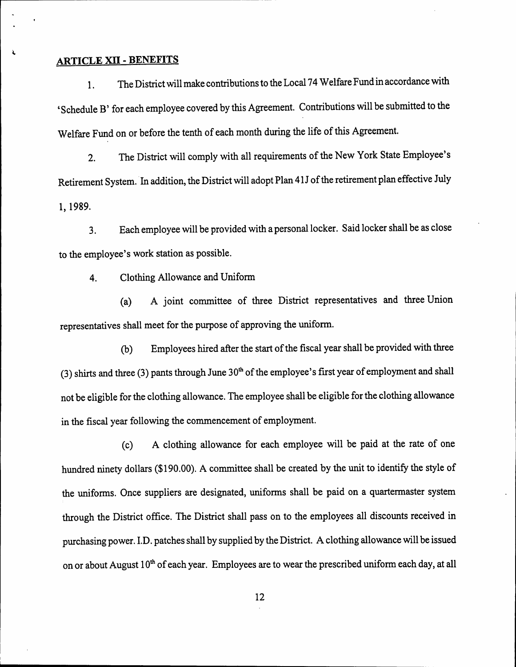### ARTICLE XII -BENEFITS

~

1. The District will make contributions to the Local 74 Welfare Fund in accordance with 'Schedule B' for each employee covered by this Agreement. Contributions will be submitted to the Welfare Fund on or before the tenth of each month during the life of this Agreement.

2. The District will comply with all requirements of the New York State Employee's Retirement System. In addition, the District will adopt Plan 41J of the retirement plan effective July 1, 1989.

3. Each employee will be provided with a personal locker. Said locker shall be as close to the employee's work station as possible.

4. Clothing Allowance and Uniform

(a) A joint committee of three District representatives and three Union representatives shall meet for the purpose of approving the uniform.

(b) Employees hired after the start of the fiscal year shall be provided with three (3) shirts and three (3) pants through June  $30<sup>th</sup>$  of the employee's first year of employment and shall not be eligible for the clothing allowance. The employee shall be eligible for the clothing allowance in the fiscal year following the commencement of employment.

(c) A clothing allowance for each employee will be paid at the rate of one hundred ninety dollars (\$190.00). A committee shall be created by the unit to identify the style of the uniforms. Once suppliers are designated, uniforms shall be paid on a quartermaster system through the District office. The District shall pass on to the employees all discounts received in purchasing power. I.D. patches shall by supplied by the District. A clothing allowance will be issued on or about August  $10<sup>th</sup>$  of each year. Employees are to wear the prescribed uniform each day, at all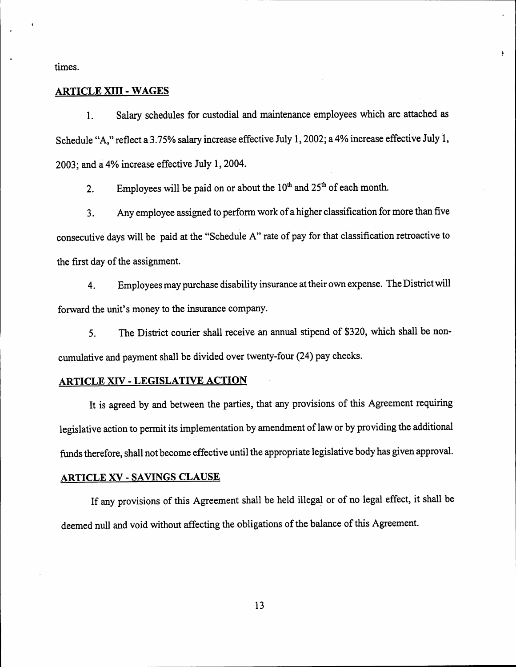times.

#### ARTICLE XIII - WAGES

1. Salary schedules for custodial and maintenance employees which are attached as Schedule "A," reflect a 3.75% salary increase effective July 1,2002; a 4% increase effective July 1, 2003; and a 4% increase effective July 1, 2004.

Ł

2. Employees will be paid on or about the  $10^{th}$  and  $25^{th}$  of each month.

3. Any employee assigned to perform work of a higher classification for more than five consecutive days will be paid at the "Schedule A" rate of pay for that classification retroactive to the first day of the assignment.

4. Employees may purchase disability insurance at their own expense. The District will forward the unit's money to the insurance company.

5. The District courier shall receive an annual stipend of \$320, which shall be noncumulative and payment shall be divided over twenty-four (24) pay checks.

#### ARTICLE XIV - LEGISLATIVE ACTION

It is agreed by and between the parties, that any provisions of this Agreement requiring legislative action to permit its implementation by amendment of law or by providing the additional funds therefore, shall not become effective until the appropriate legislative body has given approval.

#### ARTICLE XV - SAVINGS CLAUSE

If any provisions of this Agreement shall be held illegal or of no legal effect, it shall be deemed null and void without affecting the obligations of the balance of this Agreement.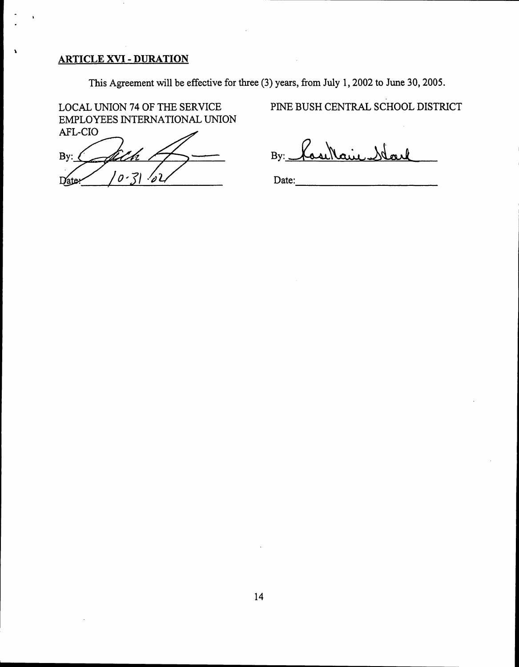### ARTICLE XVI -DURATION

\

This Agreement will be effective for three (3) years, from July 1,2002 to June 30, 2005.

LOCAL UNION 74 OF THE SERVICE EMPLOYEES INTERNATIONAL UNION AFL-CIO

By: んてん しゅうしゅう しゅうしゅう  $\theta$  -Date

# PINE BUSH CENTRAL SCHOOL DISTRICT

 $By:$  Kase Main.

Date: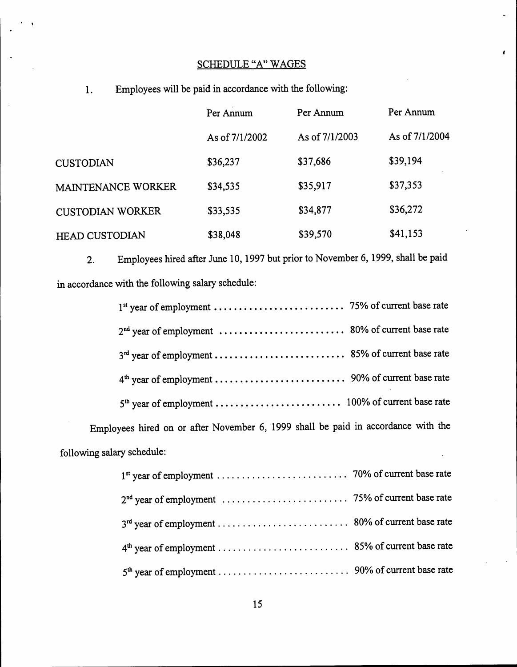### SCHEDULE "A" WAGES

 $\mathbf{r}$ 

1. Employees will be paid in accordance with the following:

. ,

|                         | Per Annum      | Per Annum      | Per Annum      |
|-------------------------|----------------|----------------|----------------|
|                         | As of 7/1/2002 | As of 7/1/2003 | As of 7/1/2004 |
| <b>CUSTODIAN</b>        | \$36,237       | \$37,686       | \$39,194       |
| MAINTENANCE WORKER      | \$34,535       | \$35,917       | \$37,353       |
| <b>CUSTODIAN WORKER</b> | \$33,535       | \$34,877       | \$36,272       |
| <b>HEAD CUSTODIAN</b>   | \$38,048       | \$39,570       | \$41,153       |

2. Employees hired after June 10, 1997 but prior to November 6, 1999, shall be paid in accordance with the following salary schedule:

Employees hired on or after November 6, 1999 shall be paid in accordance with the following salary schedule: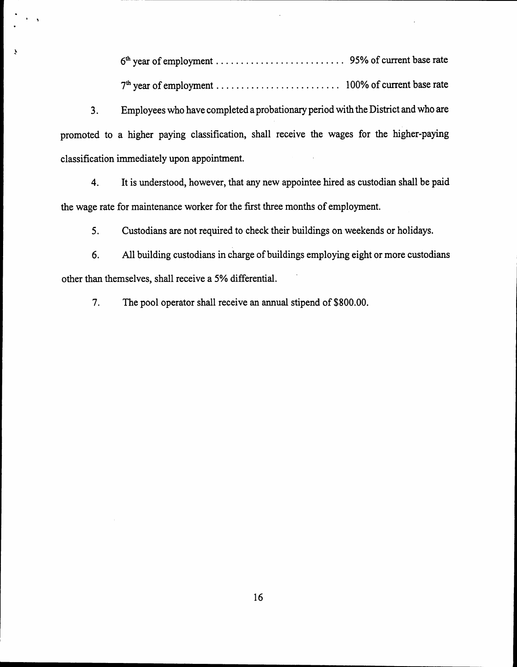" 6thyear of employment. . . . . . . . . . . . . . . . . . . . . . . . .. 95% of current base rate 7thyear of employment. . . . . . . . . . . . . . . . . . . . . . . .. 100% of current base rate

3. Employees who have completed a probationary period with the District and who are promoted to a higher paying classification, shall receive the wages for the higher-paying classification immediately upon appointment.

 $\ddot{\phantom{0}}$ .

~

4. It is understood, however, that any new appointee hired as custodian shall be paid the wage rate for maintenance worker for the first three months of employment.

5. Custodians are not required to check their buildings on weekends or holidays.

6. All building custodians in charge of buildings employing eight or more custodians other than themselves, shall receive a 5% differential.

7. The pool operator shall receive an annual stipend of \$800.00.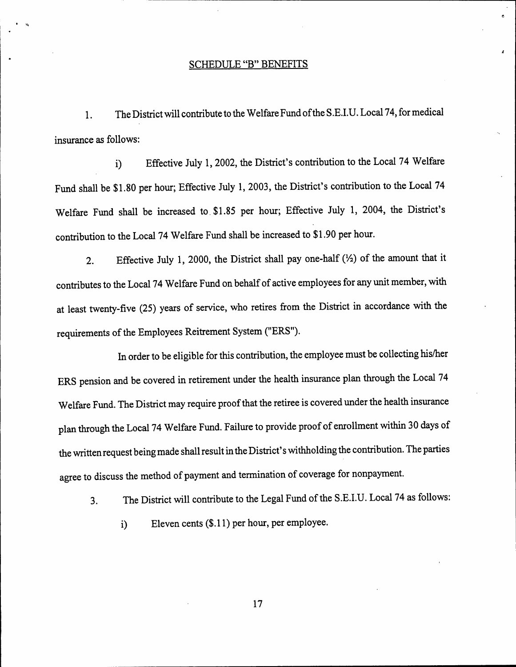#### SCHEDULE "B" BENEFITS

 $\bullet$ 

I I .  $\ddot{\phantom{a}}$ 

1. The District will contribute to the Welfare Fund of the S.E.LD. Local 74, for medical insurance as follows:

i) Effective July 1, 2002, the District's contribution to the Local 74 Welfare Fund shall be \$1.80 per hour; Effective July 1, 2003, the District's contribution to the Local 74 Welfare Fund shall be increased to. \$1.85 per hour; Effective July 1, 2004, the District's contribution to the Local 74 Welfare Fund shall be increased to \$1.90 per hour.

2. Effective July 1, 2000, the District shall pay one-half  $(\frac{1}{2})$  of the amount that it contributes to the Local 74 Welfare Fund on behalf of active employees for any unit member, with at least twenty-five (25) years of service, who retires from the District in accordance with the requirements of the Employees Reitrement System ("ERS").

In order to be eligible for this contribution, the employee must be collecting his/her ERS pension and be covered in retirement under the health insurance plan through the Local 74 Welfare Fund. The District may require proof that the retiree is covered under the health insurance plan through the Local 74 Welfare Fund. Failure to provide proof of enrollment within 30 days of the written request being made shall result in the District's withholding the contribution. The parties agree to discuss the method of payment and termination of coverage for nonpayment.

3. The District will contribute to the Legal Fund of the S.E.LD. Local 74 as follows:

i) Eleven cents (\$.11) per hour, per employee.